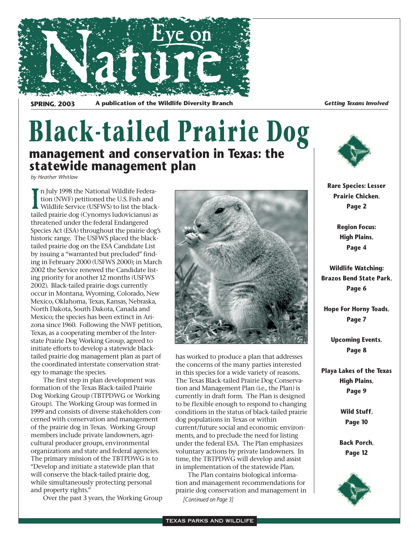

**SPRING, 2003** A publication of the Wildlife Diversity Branch *Getting Texans Involved* 

### **Black-tailed Prairie Dog management and conservation in Texas: the statewide management plan**

*by Heather Whitlaw*

In July 1998 the National Wildlife Federation (NWF) petitioned the U.S. Fish and Wildlife Service (USFWS) to list the black tailed prairie dog (Cynomys ludovicianus) as n July 1998 the National Wildlife Federation (NWF) petitioned the U.S. Fish and Wildlife Service (USFWS) to list the blackthreatened under the federal Endangered Species Act (ESA) throughout the prairie dog's historic range. The USFWS placed the blacktailed prairie dog on the ESA Candidate List by issuing a "warranted but precluded" finding in February 2000 (USFWS 2000); in March 2002 the Service renewed the Candidate listing priority for another 12 months (USFWS 2002). Black-tailed prairie dogs currently occur in Montana, Wyoming, Colorado, New Mexico, Oklahoma, Texas, Kansas, Nebraska, North Dakota, South Dakota, Canada and Mexico; the species has been extinct in Arizona since 1960. Following the NWF petition, Texas, as a cooperating member of the Interstate Prairie Dog Working Group, agreed to initiate efforts to develop a statewide blacktailed prairie dog management plan as part of the coordinated interstate conservation strategy to manage the species.

The first step in plan development was formation of the Texas Black-tailed Prairie Dog Working Group (TBTPDWG or Working Group). The Working Group was formed in 1999 and consists of diverse stakeholders concerned with conservation and management of the prairie dog in Texas. Working Group members include private landowners, agricultural producer groups, environmental organizations and state and federal agencies. The primary mission of the TBTPDWG is to "Develop and initiate a statewide plan that will conserve the black-tailed prairie dog, while simultaneously protecting personal and property rights."

Over the past 3 years, the Working Group



has worked to produce a plan that addresses the concerns of the many parties interested in this species for a wide variety of reasons. The Texas Black-tailed Prairie Dog Conservation and Management Plan (i.e., the Plan) is currently in draft form. The Plan is designed to be flexible enough to respond to changing conditions in the status of black-tailed prairie dog populations in Texas or within current/future social and economic environments, and to preclude the need for listing under the federal ESA. The Plan emphasizes voluntary actions by private landowners. In time, the TBTPDWG will develop and assist in implementation of the statewide Plan.

The Plan contains biological information and management recommendations for prairie dog conservation and management in *[Continued on Page 3]*



**Rare Species: Lesser Prairie Chicken, Page 2**

> **Region Focus: High Plains, Page 4**

**Wildlife Watching: Brazos Bend State Park, Page 6**

**Hope For Horny Toads, Page 7**

**Upcoming Events, Page 8**

**Playa Lakes of the Texas High Plains, Page 9**

> **Wild Stuff, Page 10**

**Back Porch, Page 12**

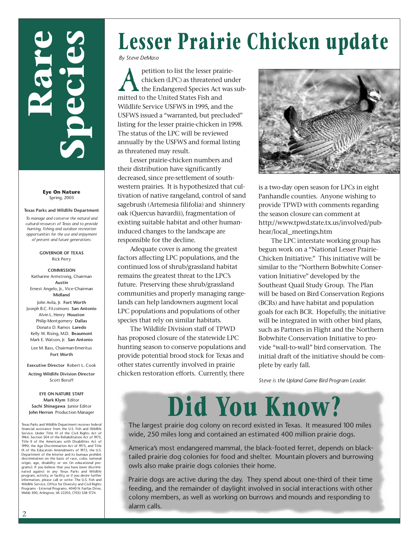# **Rare Species**

**Eye On Nature** Spring, 2003

**Texas Parks and Wildlife Department** *To manage and conserve the natural and cultural resources of Texas and to provide hunting, fishing and outdoor recreation opportunities for the use and enjoyment of present and future generations.*

> **GOVERNOR OF TEXAS** Rick Perry

**COMMISSION** Katharine Armstrong, Chairman **Austin** Ernest Angelo, Jr., Vice-Chairman **Midland** John Avila, Jr. **Fort Worth** Joseph B.C. Fitzsimons **San Antonio** Alvin L. Henry **Houston** Philip Montgomery **Dallas** Donato D. Ramos **Laredo** Kelly W. Rising, M.D. **Beaumont** Mark E. Watson, Jr. **San Antonio** Lee M. Bass, Chairman-Emeritus

**Fort Worth**

**Executive Director** Robert L. Cook

**Acting Wildlife Division Director** Scott Boruff

**EYE ON NATURE STAFF Mark Klym** Editor **Sachi Shinagawa** Junior Editor **John Herron** Production Manager

Texas Parks and Wildlife Department receives federal financial assistance from the U.S. Fish and Wildlife Service. Under Title VI of the Civil Rights Act of 1964, Section 504 of the Rehabilitation Act of 1973, Title II of the Americans with Disabilities Act of 1990, the Age Discrimination Act of 1975, and Title IX of the Education Amendments of 1972, the U.S. Department of the Interior and its bureaus prohibit discrimination on the basis of race, color, national origin, age, disability or sex (in educational programs). If you believe that you have been discrimi-nated against in any Texas Parks and Wildlife program, activity, or facility, or if you desire further information, please call or write: The U.S. Fish and Wildlife Service, Office for Diversity and Civil Rights Programs - External Programs, 4040 N. Fairfax Drive, Webb 300, Arlington, VA 22203, (703) 358-1724.

# **Lesser Prairie Chicken update**

*By Steve DeMaso*

petition to list the lesser prairiechicken (LPC) as threatened under the Endangered Species Act was submitted to the United States Fish and Wildlife Service USFWS in 1995, and the USFWS issued a "warranted, but precluded" listing for the lesser prairie-chicken in 1998. The status of the LPC will be reviewed annually by the USFWS and formal listing as threatened may result.

Lesser prairie-chicken numbers and their distribution have significantly decreased, since pre-settlement of southwestern prairies. It is hypothesized that cultivation of native rangeland, control of sand sagebrush (Artemesia filifolia) and shinnery oak (Quercus havardii), fragmentation of existing suitable habitat and other humaninduced changes to the landscape are responsible for the decline.

Adequate cover is among the greatest factors affecting LPC populations, and the continued loss of shrub/grassland habitat remains the greatest threat to the LPC's future. Preserving these shrub/grassland communities and properly managing rangelands can help landowners augment local LPC populations and populations of other species that rely on similar habitats.

The Wildlife Division staff of TPWD has proposed closure of the statewide LPC hunting season to conserve populations and provide potential brood stock for Texas and other states currently involved in prairie chicken restoration efforts. Currently, there



is a two-day open season for LPCs in eight Panhandle counties. Anyone wishing to provide TPWD with comments regarding the season closure can comment at http://www.tpwd.state.tx.us/involved/pubhear/local\_meetings.htm

The LPC interstate working group has begun work on a "National Lesser Prairie-Chicken Initiative." This initiative will be similar to the "Northern Bobwhite Conservation Initiative" developed by the Southeast Quail Study Group. The Plan will be based on Bird Conservation Regions (BCRs) and have habitat and population goals for each BCR. Hopefully, the initiative will be integrated in with other bird plans, such as Partners in Flight and the Northern Bobwhite Conservation Initiative to provide "wall-to-wall" bird conservation. The initial draft of the initiative should be complete by early fall.

*Steve is the Upland Game Bird Program Leader.* 

## **Did You Know?**

The largest prairie dog colony on record existed in Texas. It measured 100 miles wide, 250 miles long and contained an estimated 400 million prairie dogs.

America's most endangered mammal, the black-footed ferret, depends on blacktailed prairie dog colonies for food and shelter. Mountain plovers and burrowing owls also make prairie dogs colonies their home.

Prairie dogs are active during the day. They spend about one-third of their time feeding, and the remainder of daylight involved in social interactions with other colony members, as well as working on burrows and mounds and responding to alarm calls.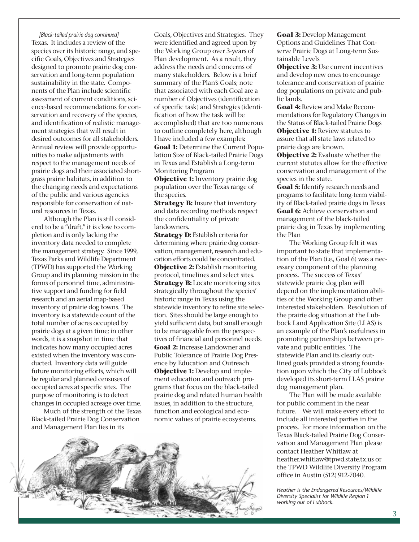*[Black-tailed prairie dog continued]* Texas. It includes a review of the species over its historic range, and specific Goals, Objectives and Strategies designed to promote prairie dog conservation and long-term population sustainability in the state. Components of the Plan include scientific assessment of current conditions, science-based recommendations for conservation and recovery of the species, and identification of realistic management strategies that will result in desired outcomes for all stakeholders. Annual review will provide opportunities to make adjustments with respect to the management needs of prairie dogs and their associated shortgrass prairie habitats, in addition to the changing needs and expectations of the public and various agencies responsible for conservation of natural resources in Texas.

Although the Plan is still considered to be a "draft," it is close to completion and is only lacking the inventory data needed to complete the management strategy. Since 1999, Texas Parks and Wildlife Department (TPWD) has supported the Working Group and its planning mission in the forms of personnel time, administrative support and funding for field research and an aerial map-based inventory of prairie dog towns. The inventory is a statewide count of the total number of acres occupied by prairie dogs at a given time; in other words, it is a snapshot in time that indicates how many occupied acres existed when the inventory was conducted. Inventory data will guide future monitoring efforts, which will be regular and planned censuses of occupied acres at specific sites. The purpose of monitoring is to detect changes in occupied acreage over time.

Much of the strength of the Texas Black-tailed Prairie Dog Conservation and Management Plan lies in its

Goals, Objectives and Strategies. They were identified and agreed upon by the Working Group over 3-years of Plan development. As a result, they address the needs and concerns of many stakeholders. Below is a brief summary of the Plan's Goals; note that associated with each Goal are a number of Objectives (identification of specific task) and Strategies (identification of how the task will be accomplished) that are too numerous to outline completely here, although I have included a few examples: **Goal 1:** Determine the Current Population Size of Black-tailed Prairie Dogs in Texas and Establish a Long-term Monitoring Program

**Objective 1:** Inventory prairie dog population over the Texas range of the species.

**Strategy B:** Insure that inventory and data recording methods respect the confidentiality of private landowners.

**Strategy D:** Establish criteria for determining where prairie dog conservation, management, research and education efforts could be concentrated. **Objective 2:** Establish monitoring protocol, timelines and select sites. **Strategy B:** Locate monitoring sites strategically throughout the species' historic range in Texas using the statewide inventory to refine site selection. Sites should be large enough to yield sufficient data, but small enough to be manageable from the perspectives of financial and personnel needs. **Goal 2:** Increase Landowner and Public Tolerance of Prairie Dog Presence by Education and Outreach **Objective 1:** Develop and implement education and outreach programs that focus on the black-tailed prairie dog and related human health issues, in addition to the structure, function and ecological and economic values of prairie ecosystems.



**Goal 3:** Develop Management Options and Guidelines That Conserve Prairie Dogs at Long-term Sustainable Levels

**Objective 3: Use current incentives** and develop new ones to encourage tolerance and conservation of prairie dog populations on private and public lands.

**Goal 4:** Review and Make Recommendations for Regulatory Changes in the Status of Black-tailed Prairie Dogs **Objective 1:** Review statutes to assure that all state laws related to prairie dogs are known.

**Objective 2:** Evaluate whether the current statutes allow for the effective conservation and management of the species in the state.

**Goal 5:** Identify research needs and programs to facilitate long-term viability of Black-tailed prairie dogs in Texas Goal 6: Achieve conservation and management of the black-tailed prairie dog in Texas by implementing the Plan

The Working Group felt it was important to state that implementation of the Plan (i.e., Goal 6) was a necessary component of the planning process. The success of Texas' statewide prairie dog plan will depend on the implementation abilities of the Working Group and other interested stakeholders. Resolution of the prairie dog situation at the Lubbock Land Application Site (LLAS) is an example of the Plan's usefulness in promoting partnerships between private and public entities. The statewide Plan and its clearly outlined goals provided a strong foundation upon which the City of Lubbock developed its short-term LLAS prairie dog management plan.

The Plan will be made available for public comment in the near future. We will make every effort to include all interested parties in the process. For more information on the Texas Black-tailed Prairie Dog Conservation and Management Plan please contact Heather Whitlaw at heather.whitlaw@tpwd.state.tx.us or the TPWD Wildlife Diversity Program office in Austin (512) 912-7040.

*Heather is the Endangered Resources/Wildlife Diversity Specialist for Wildlife Region 1 working out of Lubbock.*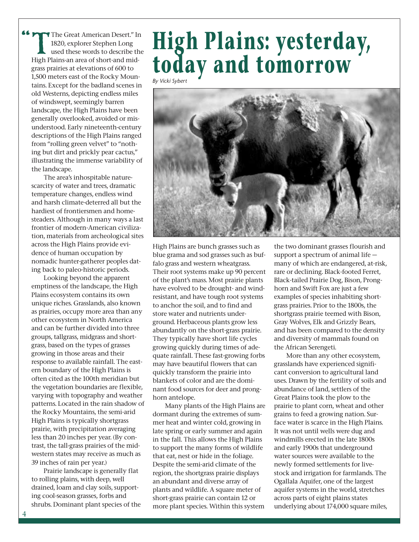The Great American Desert." In<br>1820, explorer Stephen Long<br>used these words to describe the<br>High Plains-an area of short-and mid-1820, explorer Stephen Long used these words to describe the High Plains-an area of short-and midgrass prairies at elevations of 600 to 1,500 meters east of the Rocky Mountains. Except for the badland scenes in old Westerns, depicting endless miles of windswept, seemingly barren landscape, the High Plains have been generally overlooked, avoided or misunderstood. Early nineteenth-century descriptions of the High Plains ranged from "rolling green velvet" to "nothing but dirt and prickly pear cactus," illustrating the immense variability of the landscape. **""** 

The area's inhospitable naturescarcity of water and trees, dramatic temperature changes, endless wind and harsh climate-deterred all but the hardiest of frontiersmen and homesteaders. Although in many ways a last frontier of modern-American civilization, materials from archeological sites across the High Plains provide evidence of human occupation by nomadic hunter-gatherer peoples dating back to paleo-historic periods.

Looking beyond the apparent emptiness of the landscape, the High Plains ecosystem contains its own unique riches. Grasslands, also known as prairies, occupy more area than any other ecosystem in North America and can be further divided into three groups, tallgrass, midgrass and shortgrass, based on the types of grasses growing in those areas and their response to available rainfall. The eastern boundary of the High Plains is often cited as the 100th meridian but the vegetation boundaries are flexible, varying with topography and weather patterns. Located in the rain shadow of the Rocky Mountains, the semi-arid High Plains is typically shortgrass prairie, with precipitation averaging less than 20 inches per year. (By contrast, the tall-grass prairies of the midwestern states may receive as much as 39 inches of rain per year.)

Prairie landscape is generally flat to rolling plains, with deep, well drained, loam and clay soils, supporting cool-season grasses, forbs and shrubs. Dominant plant species of the

## **High Plains: yesterday, today and tomorrow**

*By Vicki Sybert*



High Plains are bunch grasses such as blue grama and sod grasses such as buffalo grass and western wheatgrass. Their root systems make up 90 percent of the plant's mass. Most prairie plants have evolved to be drought- and windresistant, and have tough root systems to anchor the soil, and to find and store water and nutrients underground. Herbaceous plants grow less abundantly on the short-grass prairie. They typically have short life cycles growing quickly during times of adequate rainfall. These fast-growing forbs may have beautiful flowers that can quickly transform the prairie into blankets of color and are the dominant food sources for deer and pronghorn antelope.

Many plants of the High Plains are dormant during the extremes of summer heat and winter cold, growing in late spring or early summer and again in the fall. This allows the High Plains to support the many forms of wildlife that eat, nest or hide in the foliage. Despite the semi-arid climate of the region, the shortgrass prairie displays an abundant and diverse array of plants and wildlife. A square meter of short-grass prairie can contain 12 or more plant species. Within this system

the two dominant grasses flourish and support a spectrum of animal life many of which are endangered, at-risk, rare or declining. Black-footed Ferret, Black-tailed Prairie Dog, Bison, Pronghorn and Swift Fox are just a few examples of species inhabiting shortgrass prairies. Prior to the 1800s, the shortgrass prairie teemed with Bison, Gray Wolves, Elk and Grizzly Bears, and has been compared to the density and diversity of mammals found on the African Serengeti.

More than any other ecosystem, grasslands have experienced significant conversion to agricultural land uses. Drawn by the fertility of soils and abundance of land, settlers of the Great Plains took the plow to the prairie to plant corn, wheat and other grains to feed a growing nation. Surface water is scarce in the High Plains. It was not until wells were dug and windmills erected in the late 1800s and early 1900s that underground water sources were available to the newly formed settlements for livestock and irrigation for farmlands. The Ogallala Aquifer, one of the largest aquifer systems in the world, stretches across parts of eight plains states underlying about 174,000 square miles,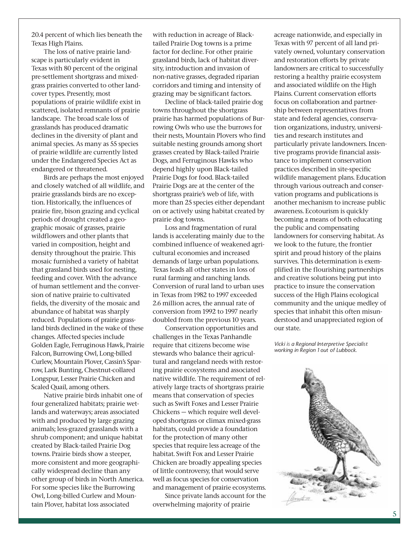20.4 percent of which lies beneath the Texas High Plains.

The loss of native prairie landscape is particularly evident in Texas with 80 percent of the original pre-settlement shortgrass and mixedgrass prairies converted to other landcover types. Presently, most populations of prairie wildlife exist in scattered, isolated remnants of prairie landscape. The broad scale loss of grasslands has produced dramatic declines in the diversity of plant and animal species. As many as 55 species of prairie wildlife are currently listed under the Endangered Species Act as endangered or threatened.

Birds are perhaps the most enjoyed and closely watched of all wildlife, and prairie grasslands birds are no exception. Historically, the influences of prairie fire, bison grazing and cyclical periods of drought created a geographic mosaic of grasses, prairie wildflowers and other plants that varied in composition, height and density throughout the prairie. This mosaic furnished a variety of habitat that grassland birds used for nesting, feeding and cover. With the advance of human settlement and the conversion of native prairie to cultivated fields, the diversity of the mosaic and abundance of habitat was sharply reduced. Populations of prairie grassland birds declined in the wake of these changes. Affected species include Golden Eagle, Ferruginous Hawk, Prairie Falcon, Burrowing Owl, Long-billed Curlew, Mountain Plover, Cassin's Sparrow, Lark Bunting, Chestnut-collared Longspur, Lesser Prairie Chicken and Scaled Quail, among others.

Native prairie birds inhabit one of four generalized habitats; prairie wetlands and waterways; areas associated with and produced by large grazing animals; less-grazed grasslands with a shrub component; and unique habitat created by Black-tailed Prairie Dog towns. Prairie birds show a steeper, more consistent and more geographically widespread decline than any other group of birds in North America. For some species like the Burrowing Owl, Long-billed Curlew and Mountain Plover, habitat loss associated

with reduction in acreage of Blacktailed Prairie Dog towns is a prime factor for decline. For other prairie grassland birds, lack of habitat diversity, introduction and invasion of non-native grasses, degraded riparian corridors and timing and intensity of grazing may be significant factors.

Decline of black-tailed prairie dog towns throughout the shortgrass prairie has harmed populations of Burrowing Owls who use the burrows for their nests, Mountain Plovers who find suitable nesting grounds among short grasses created by Black-tailed Prairie Dogs, and Ferruginous Hawks who depend highly upon Black-tailed Prairie Dogs for food. Black-tailed Prairie Dogs are at the center of the shortgrass prairie's web of life, with more than 25 species either dependant on or actively using habitat created by prairie dog towns.

Loss and fragmentation of rural lands is accelerating mainly due to the combined influence of weakened agricultural economies and increased demands of large urban populations. Texas leads all other states in loss of rural farming and ranching lands. Conversion of rural land to urban uses in Texas from 1982 to 1997 exceeded 2.6 million acres, the annual rate of conversion from 1992 to 1997 nearly doubled from the previous 10 years.

Conservation opportunities and challenges in the Texas Panhandle require that citizens become wise stewards who balance their agricultural and rangeland needs with restoring prairie ecosystems and associated native wildlife. The requirement of relatively large tracts of shortgrass prairie means that conservation of species such as Swift Foxes and Lesser Prairie Chickens — which require well developed shortgrass or climax mixed-grass habitats, could provide a foundation for the protection of many other species that require less acreage of the habitat. Swift Fox and Lesser Prairie Chicken are broadly appealing species of little controversy, that would serve well as focus species for conservation and management of prairie ecosystems.

Since private lands account for the overwhelming majority of prairie

acreage nationwide, and especially in Texas with 97 percent of all land privately owned, voluntary conservation and restoration efforts by private landowners are critical to successfully restoring a healthy prairie ecosystem and associated wildlife on the High Plains. Current conservation efforts focus on collaboration and partnership between representatives from state and federal agencies, conservation organizations, industry, universities and research institutes and particularly private landowners. Incentive programs provide financial assistance to implement conservation practices described in site-specific wildlife management plans. Education through various outreach and conservation programs and publications is another mechanism to increase public awareness. Ecotourism is quickly becoming a means of both educating the public and compensating landowners for conserving habitat. As we look to the future, the frontier spirit and proud history of the plains survives. This determination is exemplified in the flourishing partnerships and creative solutions being put into practice to insure the conservation success of the High Plains ecological community and the unique medley of species that inhabit this often misunderstood and unappreciated region of our state.

*Vicki is a Regional Interpretive Specialist working in Region 1 out of Lubbock.*

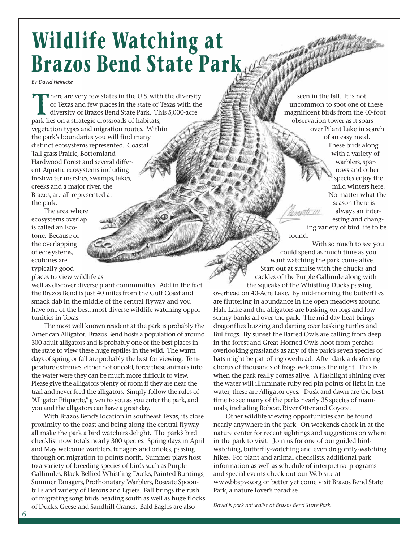## **Wildlife Watching at Brazos Bend State Park**

*By David Heinicke*

There are very few states in the U.S. with the diversity<br>of Texas and few places in the state of Texas with the<br>diversity of Brazos Bend State Park. This 5,000-acre<br>park lies on a strategic crossroads of habitats. of Texas and few places in the state of Texas with the diversity of Brazos Bend State Park. This 5,000-acre park lies on a strategic crossroads of habitats, vegetation types and migration routes. Within the park's boundaries you will find many distinct ecosystems represented. Coastal Tall grass Prairie, Bottomland Hardwood Forest and several different Aquatic ecosystems including freshwater marshes, swamps, lakes, creeks and a major river, the Brazos, are all represented at the park.

The area where ecosystems overlap is called an Ecotone. Because of the overlapping of ecosystems, ecotones are typically good

places to view wildlife as

well as discover diverse plant communities. Add in the fact the Brazos Bend is just 40 miles from the Gulf Coast and smack dab in the middle of the central flyway and you have one of the best, most diverse wildlife watching opportunities in Texas.

The most well known resident at the park is probably the American Alligator. Brazos Bend hosts a population of around 300 adult alligators and is probably one of the best places in the state to view these huge reptiles in the wild. The warm days of spring or fall are probably the best for viewing. Temperature extremes, either hot or cold, force these animals into the water were they can be much more difficult to view. Please give the alligators plenty of room if they are near the trail and never feed the alligators. Simply follow the rules of "Alligator Etiquette," given to you as you enter the park, and you and the alligators can have a great day.

With Brazos Bend's location in southeast Texas, its close proximity to the coast and being along the central flyway all make the park a bird watchers delight. The park's bird checklist now totals nearly 300 species. Spring days in April and May welcome warblers, tanagers and orioles, passing through on migration to points north. Summer plays host to a variety of breeding species of birds such as Purple Gallinules, Black-Bellied Whistling Ducks, Painted Buntings, Summer Tanagers, Prothonatary Warblers, Roseate Spoonbills and variety of Herons and Egrets. Fall brings the rush of migrating song birds heading south as well as huge flocks of Ducks, Geese and Sandhill Cranes. Bald Eagles are also

seen in the fall. It is not uncommon to spot one of these magnificent birds from the 40-foot observation tower as it soars over Pilant Lake in search of an easy meal. These birds along with a variety of warblers, sparrows and other species enjoy the mild winters here. No matter what the season there is  $t$   $m$ always an interesting and chang-

ing variety of bird life to be found.

With so much to see you could spend as much time as you want watching the park come alive. Start out at sunrise with the chucks and cackles of the Purple Gallinule along with the squeaks of the Whistling Ducks passing

overhead on 40-Acre Lake. By mid-morning the butterflies are fluttering in abundance in the open meadows around Hale Lake and the alligators are basking on logs and low sunny banks all over the park. The mid day heat brings dragonflies buzzing and darting over basking turtles and Bullfrogs. By sunset the Barred Owls are calling from deep in the forest and Great Horned Owls hoot from perches overlooking grasslands as any of the park's seven species of bats might be patrolling overhead. After dark a deafening chorus of thousands of frogs welcomes the night. This is when the park really comes alive. A flashlight shining over the water will illuminate ruby red pin points of light in the water, these are Alligator eyes. Dusk and dawn are the best time to see many of the parks nearly 35 species of mammals, including Bobcat, River Otter and Coyote.

Other wildlife viewing opportunities can be found nearly anywhere in the park. On weekends check in at the nature center for recent sightings and suggestions on where in the park to visit. Join us for one of our guided birdwatching, butterfly-watching and even dragonfly-watching hikes. For plant and animal checklists, additional park information as well as schedule of interpretive programs and special events check out our Web site at www.bbspvo.org or better yet come visit Brazos Bend State Park, a nature lover's paradise.

*David is park naturalist at Brazos Bend State Park.*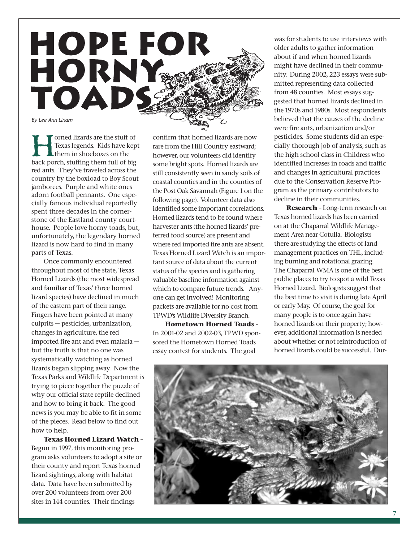

Forned lizards are the stuff of<br>Texas legends. Kids have kep<br>them in shoeboxes on the<br>back porch, stuffing them full of big Texas legends. Kids have kept them in shoeboxes on the red ants. They've traveled across the country by the boxload to Boy Scout jamborees. Purple and white ones adorn football pennants. One especially famous individual reportedly spent three decades in the cornerstone of the Eastland county courthouse. People love horny toads, but, unfortunately, the legendary horned lizard is now hard to find in many parts of Texas.

Once commonly encountered throughout most of the state, Texas Horned Lizards (the most widespread and familiar of Texas' three horned lizard species) have declined in much of the eastern part of their range. Fingers have been pointed at many culprits — pesticides, urbanization, changes in agriculture, the red imported fire ant and even malaria but the truth is that no one was systematically watching as horned lizards began slipping away. Now the Texas Parks and Wildlife Department is trying to piece together the puzzle of why our official state reptile declined and how to bring it back. The good news is you may be able to fit in some of the pieces. Read below to find out how to help.

**Texas Horned Lizard Watch** – Begun in 1997, this monitoring program asks volunteers to adopt a site or their county and report Texas horned lizard sightings, along with habitat data. Data have been submitted by over 200 volunteers from over 200 sites in 144 counties. Their findings

confirm that horned lizards are now rare from the Hill Country eastward; however, our volunteers did identify some bright spots. Horned lizards are still consistently seen in sandy soils of coastal counties and in the counties of the Post Oak Savannah (Figure 1 on the following page). Volunteer data also identified some important correlations. Horned lizards tend to be found where harvester ants (the horned lizards' preferred food source) are present and where red imported fire ants are absent. Texas Horned Lizard Watch is an important source of data about the current status of the species and is gathering valuable baseline information against which to compare future trends. Anyone can get involved! Monitoring packets are available for no cost from TPWD's Wildlife Diversity Branch.

**Hometown Horned Toads** – In 2001-02 and 2002-03, TPWD sponsored the Hometown Horned Toads essay contest for students. The goal

was for students to use interviews with older adults to gather information about if and when horned lizards might have declined in their community. During 2002, 223 essays were submitted representing data collected from 48 counties. Most essays suggested that horned lizards declined in the 1970s and 1980s. Most respondents believed that the causes of the decline were fire ants, urbanization and/or pesticides. Some students did an especially thorough job of analysis, such as the high school class in Childress who identified increases in roads and traffic and changes in agricultural practices due to the Conservation Reserve Program as the primary contributors to decline in their communities.

**Research** – Long-term research on Texas horned lizards has been carried on at the Chaparral Wildlife Management Area near Cotulla. Biologists there are studying the effects of land management practices on THL, including burning and rotational grazing. The Chaparral WMA is one of the best public places to try to spot a wild Texas Horned Lizard. Biologists suggest that the best time to visit is during late April or early May. Of course, the goal for many people is to once again have horned lizards on their property; however, additional information is needed about whether or not reintroduction of horned lizards could be successful. Dur-

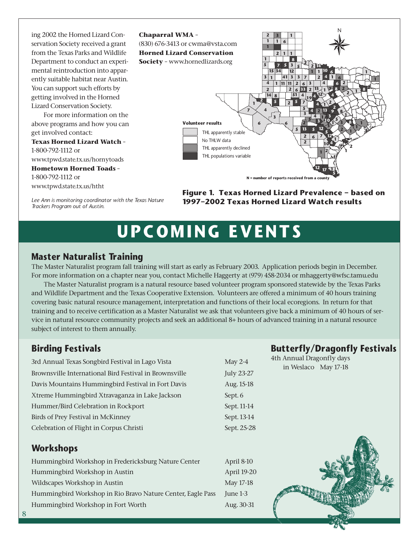ing 2002 the Horned Lizard Conservation Society received a grant from the Texas Parks and Wildlife Department to conduct an experimental reintroduction into apparently suitable habitat near Austin. You can support such efforts by getting involved in the Horned Lizard Conservation Society.

For more information on the above programs and how you can get involved contact:

**Texas Horned Lizard Watch** – 1-800-792-1112 or www.tpwd.state.tx.us/hornytoads **Hometown Horned Toads** – 1-800-792-1112 or www.tpwd.state.tx.us/htht

*Trackers Program out of Austin.*

*Lee Ann is monitoring coordinator with the Texas Nature*



**Figure 1. Texas Horned Lizard Prevalence – based on 1997–2002 Texas Horned Lizard Watch results**

## **UPCOMING EVENTS**

#### **Master Naturalist Training**

The Master Naturalist program fall training will start as early as February 2003. Application periods begin in December. For more information on a chapter near you, contact Michelle Haggerty at (979) 458-2034 or mhaggerty@wfsc.tamu.edu

The Master Naturalist program is a natural resource based volunteer program sponsored statewide by the Texas Parks and Wildlife Department and the Texas Cooperative Extension. Volunteers are offered a minimum of 40 hours training covering basic natural resource management, interpretation and functions of their local ecoregions. In return for that training and to receive certification as a Master Naturalist we ask that volunteers give back a minimum of 40 hours of service in natural resource community projects and seek an additional 8+ hours of advanced training in a natural resource subject of interest to them annually.

#### **Birding Festivals**

3rd Annual Texas Songbird Festival in Lago Vista May 2-4 Brownsville International Bird Festival in Brownsville July 23-27 Davis Mountains Hummingbird Festival in Fort Davis Aug. 15-18 Xtreme Hummingbird Xtravaganza in Lake Jackson Sept. 6 Hummer/Bird Celebration in Rockport Sept. 11-14 Birds of Prey Festival in McKinney Sept. 13-14 Celebration of Flight in Corpus Christi Sept. 25-28

#### **Workshops**

Hummingbird Workshop in Fredericksburg Nature Center April 8-10 Hummingbird Workshop in Austin April 19-20 Wildscapes Workshop in Austin May 17-18 Hummingbird Workshop in Rio Bravo Nature Center, Eagle Pass June 1-3 Hummingbird Workshop in Fort Worth Aug. 30-31

**Butterfly/Dragonfly Festivals**

4th Annual Dragonfly days in Weslaco May 17-18

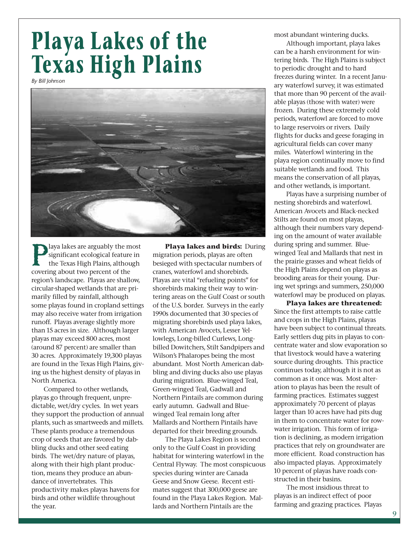## **Playa Lakes of the Texas High Plains**

*By Bill Johnson*



**Playa lakes are arguably the most<br>significant ecological feature in<br>the Texas High Plains, although<br>covering about two percent of the** significant ecological feature in the Texas High Plains, although covering about two percent of the region's landscape. Playas are shallow, circular-shaped wetlands that are primarily filled by rainfall, although some playas found in cropland settings may also receive water from irrigation runoff. Playas average slightly more than 15 acres in size. Although larger playas may exceed 800 acres, most (around 87 percent) are smaller than 30 acres. Approximately 19,300 playas are found in the Texas High Plains, giving us the highest density of playas in North America.

Compared to other wetlands, playas go through frequent, unpredictable, wet/dry cycles. In wet years they support the production of annual plants, such as smartweeds and millets. These plants produce a tremendous crop of seeds that are favored by dabbling ducks and other seed eating birds. The wet/dry nature of playas, along with their high plant production, means they produce an abundance of invertebrates. This productivity makes playas havens for birds and other wildlife throughout the year.

**Playa lakes and birds:** During migration periods, playas are often besieged with spectacular numbers of cranes, waterfowl and shorebirds. Playas are vital "refueling points" for shorebirds making their way to wintering areas on the Gulf Coast or south of the U.S. border. Surveys in the early 1990s documented that 30 species of migrating shorebirds used playa lakes, with American Avocets, Lesser Yellowlegs, Long-billed Curlews, Longbilled Dowitchers, Stilt Sandpipers and Wilson's Phalaropes being the most abundant. Most North American dabbling and diving ducks also use playas during migration. Blue-winged Teal, Green-winged Teal, Gadwall and Northern Pintails are common during early autumn. Gadwall and Bluewinged Teal remain long after Mallards and Northern Pintails have departed for their breeding grounds.

The Playa Lakes Region is second only to the Gulf Coast in providing habitat for wintering waterfowl in the Central Flyway. The most conspicuous species during winter are Canada Geese and Snow Geese. Recent estimates suggest that 300,000 geese are found in the Playa Lakes Region. Mallards and Northern Pintails are the

most abundant wintering ducks.

Although important, playa lakes can be a harsh environment for wintering birds. The High Plains is subject to periodic drought and to hard freezes during winter. In a recent January waterfowl survey, it was estimated that more than 90 percent of the available playas (those with water) were frozen. During these extremely cold periods, waterfowl are forced to move to large reservoirs or rivers. Daily flights for ducks and geese foraging in agricultural fields can cover many miles. Waterfowl wintering in the playa region continually move to find suitable wetlands and food. This means the conservation of all playas, and other wetlands, is important.

Playas have a surprising number of nesting shorebirds and waterfowl. American Avocets and Black-necked Stilts are found on most playas, although their numbers vary depending on the amount of water available during spring and summer. Bluewinged Teal and Mallards that nest in the prairie grasses and wheat fields of the High Plains depend on playas as brooding areas for their young. During wet springs and summers, 250,000 waterfowl may be produced on playas.

**Playa lakes are threatened:** Since the first attempts to raise cattle and crops in the High Plains, playas have been subject to continual threats. Early settlers dug pits in playas to concentrate water and slow evaporation so that livestock would have a watering source during droughts. This practice continues today, although it is not as common as it once was. Most alteration to playas has been the result of farming practices. Estimates suggest approximately 70 percent of playas larger than 10 acres have had pits dug in them to concentrate water for rowwater irrigation. This form of irrigation is declining, as modern irrigation practices that rely on groundwater are more efficient. Road construction has also impacted playas. Approximately 10 percent of playas have roads constructed in their basins.

The most insidious threat to playas is an indirect effect of poor farming and grazing practices. Playas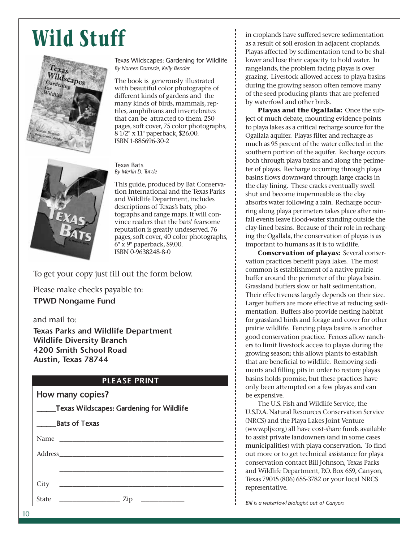## **Wild Stuff**



Texas Wildscapes: Gardening for Wildlife *By Noreen Damude, Kelly Bender*

The book is generously illustrated with beautiful color photographs of different kinds of gardens and the many kinds of birds, mammals, reptiles, amphibians and invertebrates that can be attracted to them. 250 pages, soft cover, 75 color photographs, 8 1/2" x 11" paperback, \$26.00. ISBN 1-885696-30-2



Texas Bats *By Merlin D. Tuttle*

This guide, produced by Bat Conservation International and the Texas Parks and Wildlife Department, includes descriptions of Texas's bats, photographs and range maps. It will convince readers that the bats' fearsome reputation is greatly undeserved. 76 pages, soft cover, 40 color photographs, 6" x 9" paperback, \$9.00. ISBN 0-9638248-8-0

To get your copy just fill out the form below.

Please make checks payable to: **TPWD Nongame Fund** 

and mail to:

**Texas Parks and Wildlife Department Wildlife Diversity Branch 4200 Smith School Road Austin, Texas 78744**

#### **PLEASE PRINT**

| How many copies?                                |  |
|-------------------------------------------------|--|
| <b>Texas Wildscapes: Gardening for Wildlife</b> |  |

| <b>Bats of Texas</b> |                                                                    |  |
|----------------------|--------------------------------------------------------------------|--|
|                      |                                                                    |  |
|                      |                                                                    |  |
|                      |                                                                    |  |
| City                 | the control of the control of the control of the                   |  |
| <b>State</b>         | Zip<br><u> 1989 - Andrea Station Books, amerikansk politiker (</u> |  |

in croplands have suffered severe sedimentation as a result of soil erosion in adjacent croplands. Playas affected by sedimentation tend to be shallower and lose their capacity to hold water. In rangelands, the problem facing playas is over grazing. Livestock allowed access to playa basins during the growing season often remove many of the seed producing plants that are preferred by waterfowl and other birds.

**Playas and the Ogallala:** Once the subject of much debate, mounting evidence points to playa lakes as a critical recharge source for the Ogallala aquifer. Playas filter and recharge as much as 95 percent of the water collected in the southern portion of the aquifer. Recharge occurs both through playa basins and along the perimeter of playas. Recharge occurring through playa basins flows downward through large cracks in the clay lining. These cracks eventually swell shut and become impermeable as the clay absorbs water following a rain. Recharge occurring along playa perimeters takes place after rainfall events leave flood-water standing outside the clay-lined basins. Because of their role in recharging the Ogallala, the conservation of playas is as important to humans as it is to wildlife.

**Conservation of playas:** Several conservation practices benefit playa lakes. The most common is establishment of a native prairie buffer around the perimeter of the playa basin. Grassland buffers slow or halt sedimentation. Their effectiveness largely depends on their size. Larger buffers are more effective at reducing sedimentation. Buffers also provide nesting habitat for grassland birds and forage and cover for other prairie wildlife. Fencing playa basins is another good conservation practice. Fences allow ranchers to limit livestock access to playas during the growing season; this allows plants to establish that are beneficial to wildlife. Removing sediments and filling pits in order to restore playas basins holds promise, but these practices have only been attempted on a few playas and can be expensive.

The U.S. Fish and Wildlife Service, the U.S.D.A. Natural Resources Conservation Service (NRCS) and the Playa Lakes Joint Venture (www.pljv.org) all have cost-share funds available to assist private landowners (and in some cases municipalities) with playa conservation. To find out more or to get technical assistance for playa conservation contact Bill Johnson, Texas Parks and Wildlife Department, P.O. Box 659, Canyon, Texas 79015 (806) 655-3782 or your local NRCS representative.

*Bill is a waterfowl biologist out of Canyon.*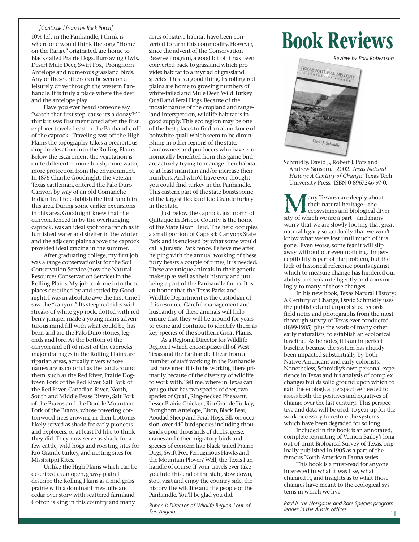#### *[Continued from the Back Porch]*

10% left in the Panhandle, I think is where one would think the song "Home on the Range" originated, are home to Black-tailed Prairie Dogs, Burrowing Owls, Desert Mule Deer, Swift Fox, Pronghorn Antelope and numerous grassland birds. Any of these critters can be seen on a leisurely drive through the western Panhandle. It is truly a place where the deer and the antelope play.

Have you ever heard someone say "watch that first step, cause it's a doozy?" I think it was first mentioned after the first explorer traveled east in the Panhandle off of the caprock. Traveling east off the High Plains the topography takes a precipitous drop in elevation into the Rolling Plains. Below the escarpment the vegetation is quite different — more brush, more water, more protection from the environment. In 1876 Charlie Goodnight, the veteran Texas cattleman, entered the Palo Duro Canyon by way of an old Comanche Indian Trail to establish the first ranch in this area. During some earlier excursions in this area, Goodnight knew that the canyon, fenced in by the overhanging caprock, was an ideal spot for a ranch as it furnished water and shelter in the winter and the adjacent plains above the caprock provided ideal grazing in the summer.

After graduating college, my first job was a range conservationist for the Soil Conservation Service (now the Natural Resources Conservation Service) in the Rolling Plains. My job took me into those places described by and settled by Goodnight. I was in absolute awe the first time I saw the "canyon." Its steep red sides with streaks of white gyp rock, dotted with red berry juniper made a young man's adventurous mind fill with what could be, has been and are the Palo Duro stories, legends and lore. At the bottom of the canyon and off of most of the caprocks major drainages in the Rolling Plains are riparian areas, actually rivers whose names are as colorful as the land around them, such as the Red River, Prairie Dogtown Fork of the Red River, Salt Fork of the Red River, Canadian River, North, South and Middle Pease Rivers, Salt Fork of the Brazos and the Double Mountain Fork of the Brazos, whose towering cottonwood trees growing in their bottoms likely served as shade for early pioneers and explorers, or at least I'd like to think they did. They now serve as shade for a few cattle, wild hogs and roosting sites for Rio Grande turkey, and nesting sites for Mississippi Kites.

Unlike the High Plains which can be described as an open, grassy plain I describe the Rolling Plains as a mid-grass prairie with a dominant mesquite and cedar over story with scattered farmland. Cotton is king in this country and many

acres of native habitat have been converted to farm this commodity. However, since the advent of the Conservation Reserve Program, a good bit of it has been converted back to grassland which provides habitat to a myriad of grassland species. This is a good thing. Its rolling red plains are home to growing numbers of white-tailed and Mule Deer, Wild Turkey, Quail and Feral Hogs. Because of the mosaic nature of the cropland and rangeland interspersion, wildlife habitat is in good supply. This eco region may be one of the best places to find an abundance of bobwhite quail which seem to be diminishing in other regions of the state. Landowners and producers who have economically benefited from this game bird are actively trying to manage their habitat to at least maintain and/or increase their numbers. And who'd have ever thought you could find turkey in the Panhandle. This eastern part of the state boasts some of the largest flocks of Rio Grande turkey in the state.

Just below the caprock, just north of Quitaque in Briscoe County is the home of the State Bison Herd. The herd occupies a small portion of Caprock Canyons State Park and is enclosed by what some would call a Jurassic Park fence. Believe me after helping with the annual working of these furry beasts a couple of times, it is needed. These are unique animals in their genetic makeup as well as their history and just being a part of the Panhandle fauna. It is an honor that the Texas Parks and Wildlife Department is the custodian of this resource. Careful management and husbandry of these animals will help ensure that they will be around for years to come and continue to identify them as key species of the southern Great Plains.

As a Regional Director for Wildlife Region 1 which encompasses all of West Texas and the Panhandle I hear from a number of staff working in the Panhandle just how great it is to be working there primarily because of the diversity of wildlife to work with. Tell me, where in Texas can you go that has two species of deer, two species of Quail, Ring-necked Pheasant, Lesser Prairie Chicken, Rio Grande Turkey, Pronghorn Antelope, Bison, Black Bear, Aoudad Sheep and Feral Hogs, Elk on occasion, over 440 bird species including thousands upon thousands of ducks, geese, cranes and other migratory birds and species of concern like Black-tailed Prairie Dogs, Swift Fox, Ferruginous Hawks and the Mountain Plover? Well, the Texas Panhandle of course. If your travels ever take you into this end of the state, slow down, stop, visit and enjoy the country side, the history, the wildlife and the people of the Panhandle. You'll be glad you did.

*Ruben is Director of Wildlife Region 1 out of San Angelo.*

## **Book Reviews**

*Review by Paul Robertson*



Schmidly, David J., Robert J. Pots and Andrew Sansom. 2002. *Texas Natural History: A Century of Change.* Texas Tech University Press. ISBN 0-8967246-97-0.

Many Texans care deeply about<br>their natural heritage - the<br>ecosystems and biological div<br>sity of which we are a part - and many their natural heritage – the ecosystems and biological diverworry that we are slowly loosing that great natural legacy so gradually that we won't know what we've lost until much of it is gone. Even worse, some fear it will slip away without our even noticing. Imperceptibility is part of the problem, but the lack of historical reference points against which to measure change has hindered our ability to speak intelligently and convincingly to many of those changes.

In his new book, Texas Natural History: A Century of Change, David Schmidly uses the published and unpublished records, field notes and photographs from the most thorough survey of Texas ever conducted (1899-1905), plus the work of many other early naturalists, to establish an ecological baseline. As he notes, it is an imperfect baseline because the system has already been impacted substantially by both Native Americans and early colonists. Nonetheless, Schmidly's own personal experience in Texas and his analysis of complex changes builds solid ground upon which to gain the ecological perspective needed to assess both the positives and negatives of change over the last century. This perspective and data will be used to gear up for the work necessary to restore the systems which have been degraded for so long.

Included in the book is an annotated, complete reprinting of Vernon Bailey's long out-of-print Biological Survey of Texas, originally published in 1905 as a part of the famous North American Fauna series.

This book is a must-read for anyone interested in what it was like, what changed it, and insights as to what those changes have meant to the ecological systems in which we live.

*Paul is the Nongame and Rare Species program leader in the Austin offices.*